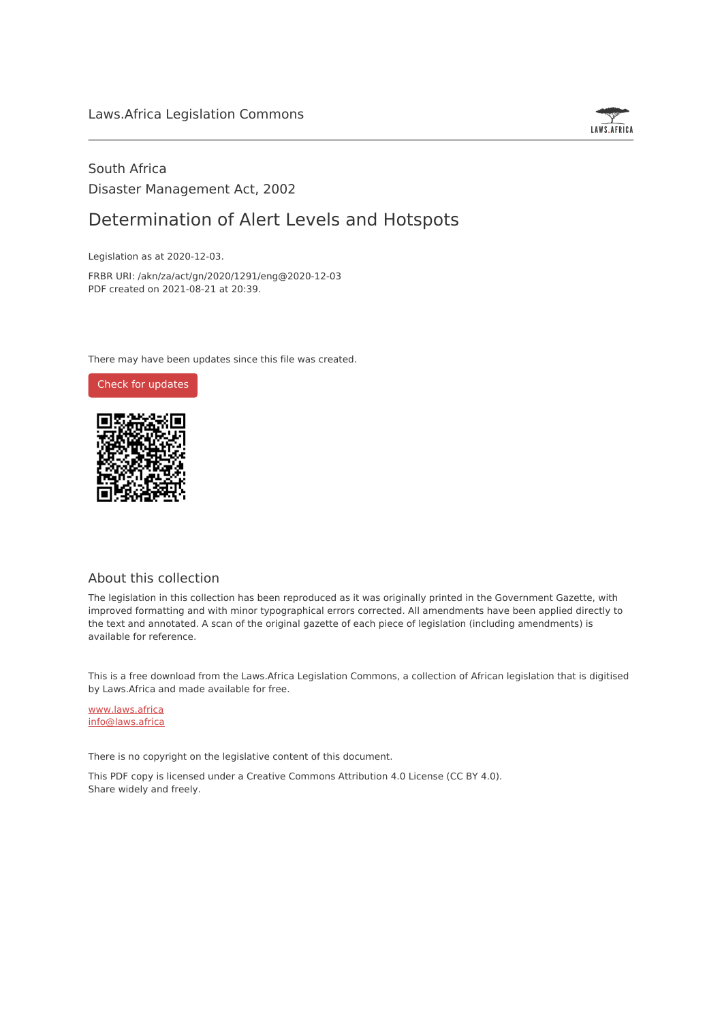

## South Africa Disaster Management Act, 2002

## Determination of Alert Levels and Hotspots

Legislation as at 2020-12-03.

FRBR URI: /akn/za/act/gn/2020/1291/eng@2020-12-03 PDF created on 2021-08-21 at 20:39.

There may have been updates since this file was created.



### About this collection

The legislation in this collection has been reproduced as it was originally printed in the Government Gazette, with improved formatting and with minor typographical errors corrected. All amendments have been applied directly to the text and annotated. A scan of the original gazette of each piece of legislation (including amendments) is available for reference.

This is a free download from the Laws.Africa Legislation Commons, a collection of African legislation that is digitised by Laws.Africa and made available for free.

[www.laws.africa](https://www.laws.africa) [info@laws.africa](mailto:info@laws.africa)

There is no copyright on the legislative content of this document.

This PDF copy is licensed under a Creative Commons Attribution 4.0 License (CC BY 4.0). Share widely and freely.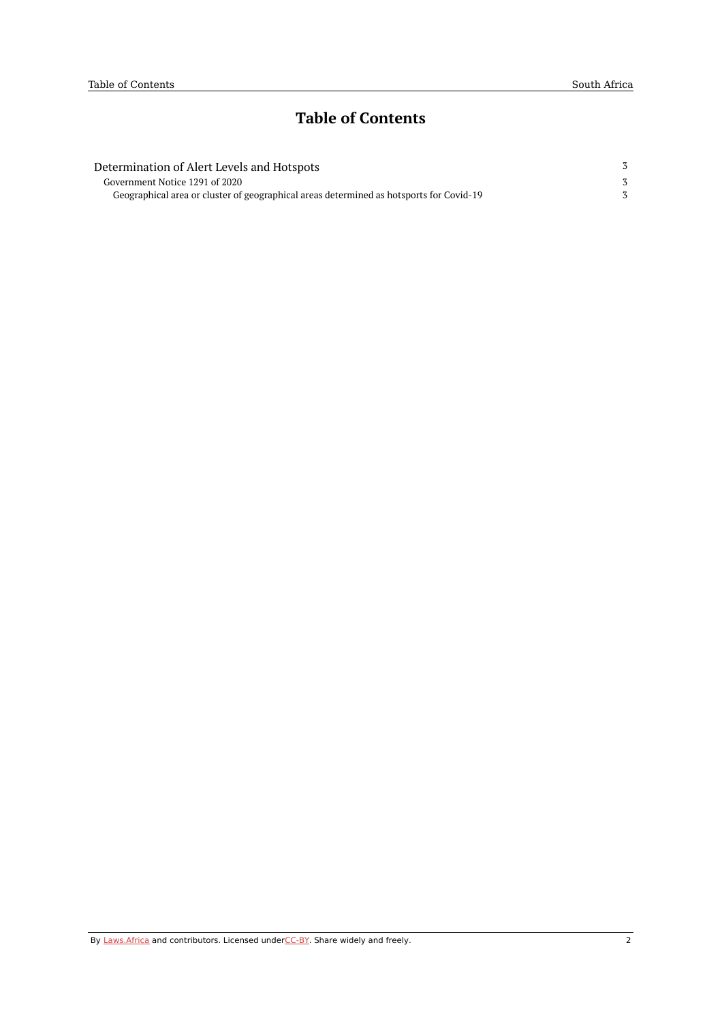# **Table of Contents**

| Determination of Alert Levels and Hotspots                                              |  |
|-----------------------------------------------------------------------------------------|--|
| Government Notice 1291 of 2020                                                          |  |
| Geographical area or cluster of geographical areas determined as hotsports for Covid-19 |  |